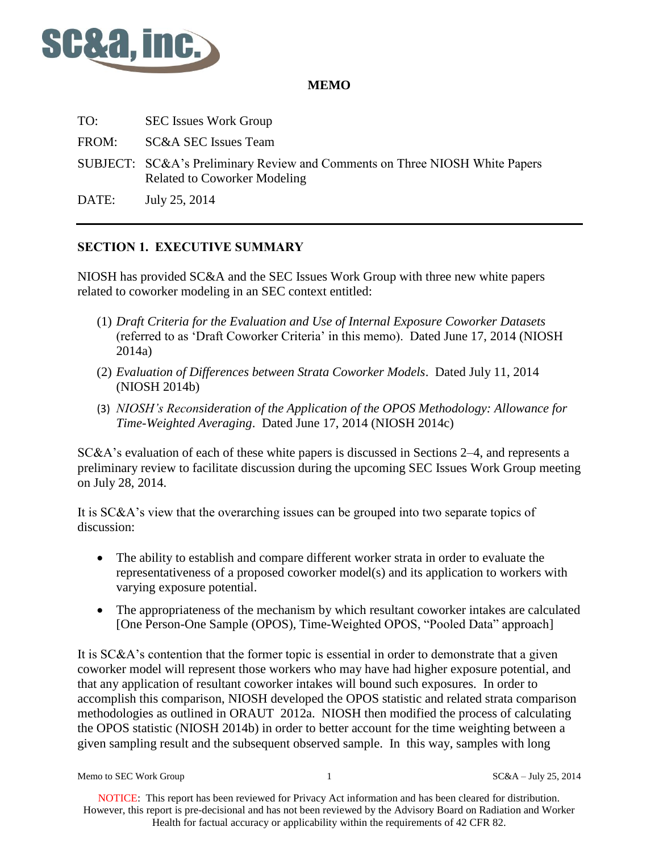

## **MEMO**

TO: SEC Issues Work Group FROM: SC&A SEC Issues Team SUBJECT: SC&A's Preliminary Review and Comments on Three NIOSH White Papers Related to Coworker Modeling ' DATE: July 25, 2014

## **SECTION 1. EXECUTIVE SUMMARY**

NIOSH has provided SC&A and the SEC Issues Work Group with three new white papers related to coworker modeling in an SEC context entitled:

- (1) *Draft Criteria for the Evaluation and Use of Internal Exposure Coworker Datasets* (referred to as 'Draft Coworker Criteria' in this memo). Dated June 17, 2014 (NIOSH 2014a)
- (2) *Evaluation of Differences between Strata Coworker Models*. Dated July 11, 2014 (NIOSH 2014b)
- (3) *NIOSH's Reconsideration of the Application of the OPOS Methodology: Allowance for Time-Weighted Averaging*. Dated June 17, 2014 (NIOSH 2014c)

SC&A's evaluation of each of these white papers is discussed in Sections 2–4, and represents a preliminary review to facilitate discussion during the upcoming SEC Issues Work Group meeting on July 28, 2014.

It is SC&A's view that the overarching issues can be grouped into two separate topics of discussion:

- The ability to establish and compare different worker strata in order to evaluate the representativeness of a proposed coworker model(s) and its application to workers with varying exposure potential.
- The appropriateness of the mechanism by which resultant coworker intakes are calculated [One Person-One Sample (OPOS), Time-Weighted OPOS, "Pooled Data" approach]

It is SC&A's contention that the former topic is essential in order to demonstrate that a given coworker model will represent those workers who may have had higher exposure potential, and that any application of resultant coworker intakes will bound such exposures. In order to accomplish this comparison, NIOSH developed the OPOS statistic and related strata comparison methodologies as outlined in ORAUT 2012a. NIOSH then modified the process of calculating the OPOS statistic (NIOSH 2014b) in order to better account for the time weighting between a given sampling result and the subsequent observed sample. In this way, samples with long

Memo to SEC Work Group 1 and 1 SC&A – July 25, 2014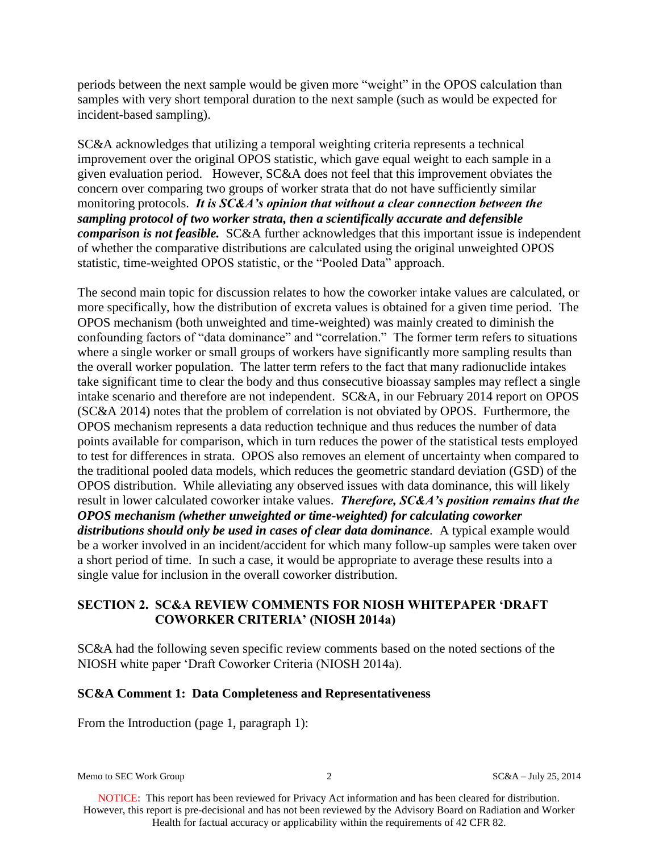periods between the next sample would be given more "weight" in the OPOS calculation than samples with very short temporal duration to the next sample (such as would be expected for incident-based sampling).

SC&A acknowledges that utilizing a temporal weighting criteria represents a technical improvement over the original OPOS statistic, which gave equal weight to each sample in a given evaluation period. However, SC&A does not feel that this improvement obviates the concern over comparing two groups of worker strata that do not have sufficiently similar monitoring protocols. *It is SC&A's opinion that without a clear connection between the sampling protocol of two worker strata, then a scientifically accurate and defensible comparison is not feasible.* SC&A further acknowledges that this important issue is independent of whether the comparative distributions are calculated using the original unweighted OPOS statistic, time-weighted OPOS statistic, or the "Pooled Data" approach.

The second main topic for discussion relates to how the coworker intake values are calculated, or more specifically, how the distribution of excreta values is obtained for a given time period. The OPOS mechanism (both unweighted and time-weighted) was mainly created to diminish the confounding factors of "data dominance" and "correlation." The former term refers to situations where a single worker or small groups of workers have significantly more sampling results than the overall worker population. The latter term refers to the fact that many radionuclide intakes take significant time to clear the body and thus consecutive bioassay samples may reflect a single intake scenario and therefore are not independent. SC&A, in our February 2014 report on OPOS (SC&A 2014) notes that the problem of correlation is not obviated by OPOS. Furthermore, the OPOS mechanism represents a data reduction technique and thus reduces the number of data points available for comparison, which in turn reduces the power of the statistical tests employed to test for differences in strata. OPOS also removes an element of uncertainty when compared to the traditional pooled data models, which reduces the geometric standard deviation (GSD) of the OPOS distribution. While alleviating any observed issues with data dominance, this will likely result in lower calculated coworker intake values. *Therefore, SC&A's position remains that the OPOS mechanism (whether unweighted or time-weighted) for calculating coworker distributions should only be used in cases of clear data dominance.* A typical example would be a worker involved in an incident/accident for which many follow-up samples were taken over a short period of time. In such a case, it would be appropriate to average these results into a single value for inclusion in the overall coworker distribution.

## **SECTION 2. SC&A REVIEW COMMENTS FOR NIOSH WHITEPAPER 'DRAFT COWORKER CRITERIA' (NIOSH 2014a)**

SC&A had the following seven specific review comments based on the noted sections of the NIOSH white paper 'Draft Coworker Criteria (NIOSH 2014a).

#### **SC&A Comment 1: Data Completeness and Representativeness**

From the Introduction (page 1, paragraph 1):

Memo to SEC Work Group 2 2 2 2 2 2 2 3 2014 SC&A – July 25, 2014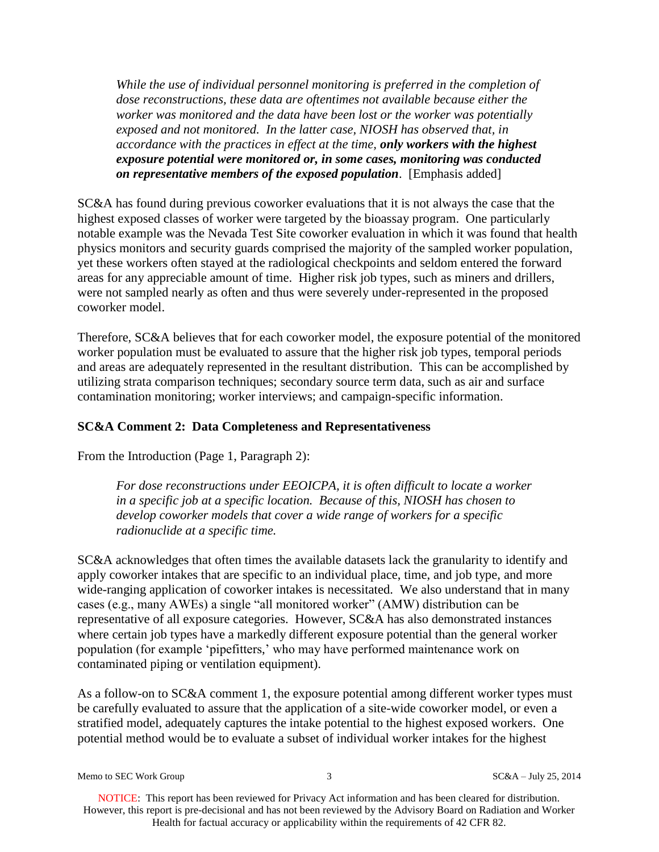*While the use of individual personnel monitoring is preferred in the completion of dose reconstructions, these data are oftentimes not available because either the worker was monitored and the data have been lost or the worker was potentially exposed and not monitored. In the latter case, NIOSH has observed that, in accordance with the practices in effect at the time, only workers with the highest exposure potential were monitored or, in some cases, monitoring was conducted on representative members of the exposed population*. [Emphasis added]

SC&A has found during previous coworker evaluations that it is not always the case that the highest exposed classes of worker were targeted by the bioassay program. One particularly notable example was the Nevada Test Site coworker evaluation in which it was found that health physics monitors and security guards comprised the majority of the sampled worker population, yet these workers often stayed at the radiological checkpoints and seldom entered the forward areas for any appreciable amount of time. Higher risk job types, such as miners and drillers, were not sampled nearly as often and thus were severely under-represented in the proposed coworker model.

Therefore, SC&A believes that for each coworker model, the exposure potential of the monitored worker population must be evaluated to assure that the higher risk job types, temporal periods and areas are adequately represented in the resultant distribution. This can be accomplished by utilizing strata comparison techniques; secondary source term data, such as air and surface contamination monitoring; worker interviews; and campaign-specific information.

## **SC&A Comment 2: Data Completeness and Representativeness**

From the Introduction (Page 1, Paragraph 2):

*For dose reconstructions under EEOICPA, it is often difficult to locate a worker in a specific job at a specific location. Because of this, NIOSH has chosen to develop coworker models that cover a wide range of workers for a specific radionuclide at a specific time.* 

SC&A acknowledges that often times the available datasets lack the granularity to identify and apply coworker intakes that are specific to an individual place, time, and job type, and more wide-ranging application of coworker intakes is necessitated. We also understand that in many cases (e.g., many AWEs) a single "all monitored worker" (AMW) distribution can be representative of all exposure categories. However, SC&A has also demonstrated instances where certain job types have a markedly different exposure potential than the general worker population (for example 'pipefitters,' who may have performed maintenance work on contaminated piping or ventilation equipment).

As a follow-on to SC&A comment 1, the exposure potential among different worker types must be carefully evaluated to assure that the application of a site-wide coworker model, or even a stratified model, adequately captures the intake potential to the highest exposed workers. One potential method would be to evaluate a subset of individual worker intakes for the highest

Memo to SEC Work Group 3 3 SC&A – July 25, 2014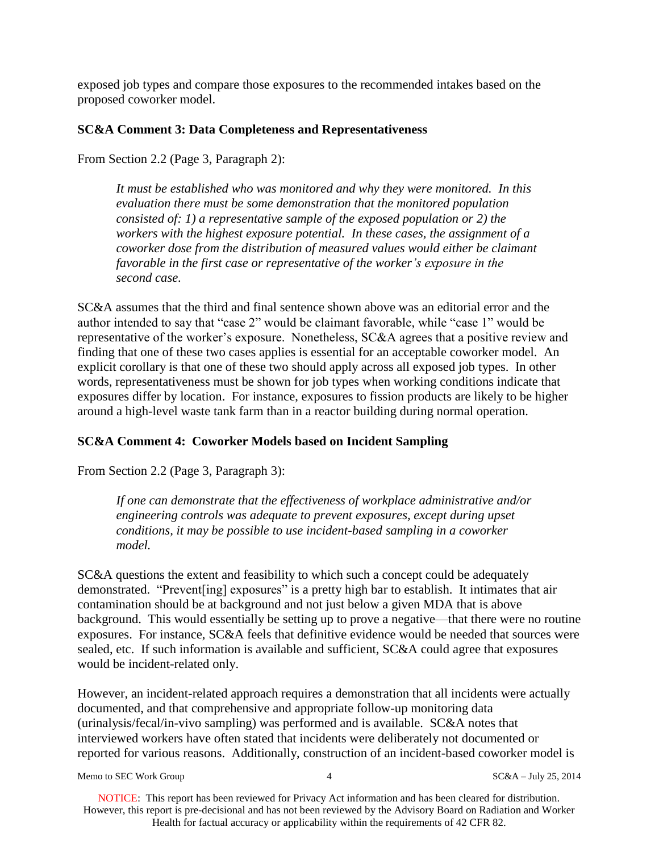exposed job types and compare those exposures to the recommended intakes based on the proposed coworker model.

## **SC&A Comment 3: Data Completeness and Representativeness**

From Section 2.2 (Page 3, Paragraph 2):

*It must be established who was monitored and why they were monitored. In this evaluation there must be some demonstration that the monitored population consisted of: 1) a representative sample of the exposed population or 2) the workers with the highest exposure potential. In these cases, the assignment of a coworker dose from the distribution of measured values would either be claimant favorable in the first case or representative of the worker's exposure in the second case.*

SC&A assumes that the third and final sentence shown above was an editorial error and the author intended to say that "case 2" would be claimant favorable, while "case 1" would be representative of the worker's exposure. Nonetheless, SC&A agrees that a positive review and finding that one of these two cases applies is essential for an acceptable coworker model. An explicit corollary is that one of these two should apply across all exposed job types. In other words, representativeness must be shown for job types when working conditions indicate that exposures differ by location. For instance, exposures to fission products are likely to be higher around a high-level waste tank farm than in a reactor building during normal operation.

## **SC&A Comment 4: Coworker Models based on Incident Sampling**

From Section 2.2 (Page 3, Paragraph 3):

*If one can demonstrate that the effectiveness of workplace administrative and/or engineering controls was adequate to prevent exposures, except during upset conditions, it may be possible to use incident-based sampling in a coworker model.*

SC&A questions the extent and feasibility to which such a concept could be adequately demonstrated. "Prevent[ing] exposures" is a pretty high bar to establish. It intimates that air contamination should be at background and not just below a given MDA that is above background. This would essentially be setting up to prove a negative—that there were no routine exposures. For instance, SC&A feels that definitive evidence would be needed that sources were sealed, etc. If such information is available and sufficient, SC&A could agree that exposures would be incident-related only.

However, an incident-related approach requires a demonstration that all incidents were actually documented, and that comprehensive and appropriate follow-up monitoring data (urinalysis/fecal/in-vivo sampling) was performed and is available. SC&A notes that interviewed workers have often stated that incidents were deliberately not documented or reported for various reasons. Additionally, construction of an incident-based coworker model is

Memo to SEC Work Group  $4 \times 4$  SC&A – July 25, 2014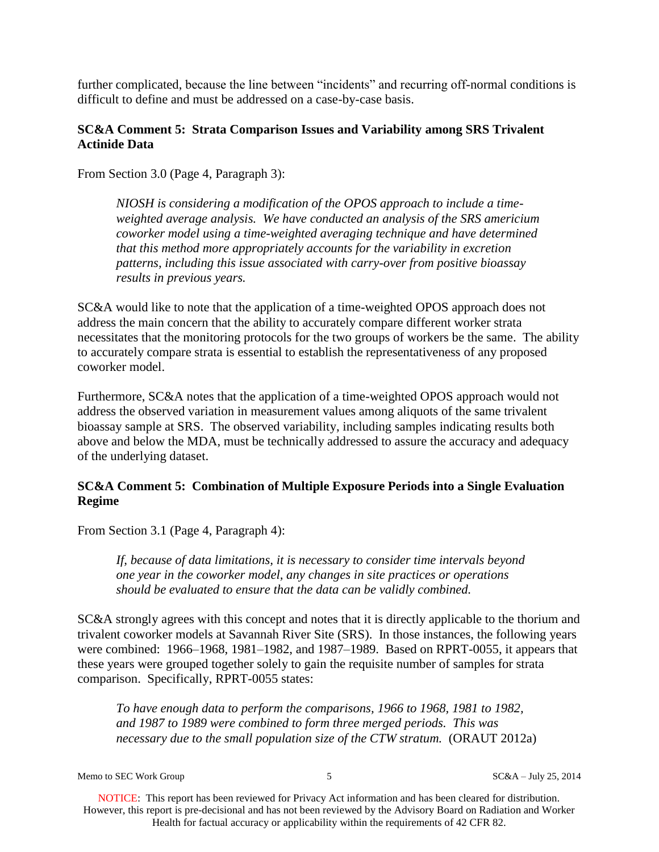further complicated, because the line between "incidents" and recurring off-normal conditions is difficult to define and must be addressed on a case-by-case basis.

### **SC&A Comment 5: Strata Comparison Issues and Variability among SRS Trivalent Actinide Data**

From Section 3.0 (Page 4, Paragraph 3):

*NIOSH is considering a modification of the OPOS approach to include a timeweighted average analysis. We have conducted an analysis of the SRS americium coworker model using a time-weighted averaging technique and have determined that this method more appropriately accounts for the variability in excretion patterns, including this issue associated with carry-over from positive bioassay results in previous years.* 

SC&A would like to note that the application of a time-weighted OPOS approach does not address the main concern that the ability to accurately compare different worker strata necessitates that the monitoring protocols for the two groups of workers be the same. The ability to accurately compare strata is essential to establish the representativeness of any proposed coworker model.

Furthermore, SC&A notes that the application of a time-weighted OPOS approach would not address the observed variation in measurement values among aliquots of the same trivalent bioassay sample at SRS. The observed variability, including samples indicating results both above and below the MDA, must be technically addressed to assure the accuracy and adequacy of the underlying dataset.

## **SC&A Comment 5: Combination of Multiple Exposure Periods into a Single Evaluation Regime**

From Section 3.1 (Page 4, Paragraph 4):

*If, because of data limitations, it is necessary to consider time intervals beyond one year in the coworker model, any changes in site practices or operations should be evaluated to ensure that the data can be validly combined.*

SC&A strongly agrees with this concept and notes that it is directly applicable to the thorium and trivalent coworker models at Savannah River Site (SRS). In those instances, the following years were combined: 1966–1968, 1981–1982, and 1987–1989. Based on RPRT-0055, it appears that these years were grouped together solely to gain the requisite number of samples for strata comparison. Specifically, RPRT-0055 states:

*To have enough data to perform the comparisons, 1966 to 1968, 1981 to 1982, and 1987 to 1989 were combined to form three merged periods. This was necessary due to the small population size of the CTW stratum.* (ORAUT 2012a)

Memo to SEC Work Group 5 5 SC&A – July 25, 2014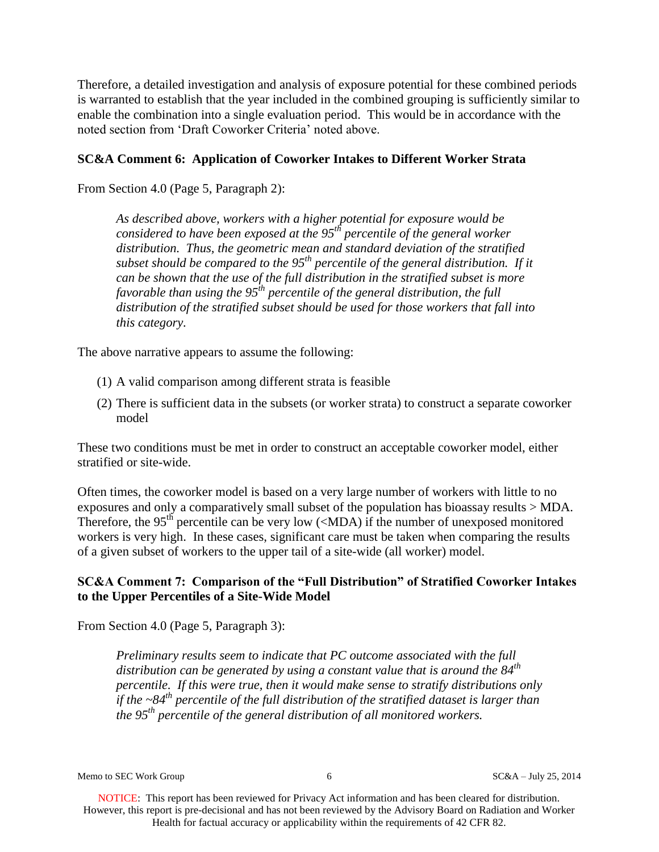Therefore, a detailed investigation and analysis of exposure potential for these combined periods is warranted to establish that the year included in the combined grouping is sufficiently similar to enable the combination into a single evaluation period. This would be in accordance with the noted section from 'Draft Coworker Criteria' noted above.

## **SC&A Comment 6: Application of Coworker Intakes to Different Worker Strata**

From Section 4.0 (Page 5, Paragraph 2):

*As described above, workers with a higher potential for exposure would be considered to have been exposed at the 95th percentile of the general worker distribution. Thus, the geometric mean and standard deviation of the stratified subset should be compared to the 95th percentile of the general distribution. If it can be shown that the use of the full distribution in the stratified subset is more favorable than using the 95th percentile of the general distribution, the full distribution of the stratified subset should be used for those workers that fall into this category.* 

The above narrative appears to assume the following:

- (1) A valid comparison among different strata is feasible
- (2) There is sufficient data in the subsets (or worker strata) to construct a separate coworker model

These two conditions must be met in order to construct an acceptable coworker model, either stratified or site-wide.

Often times, the coworker model is based on a very large number of workers with little to no exposures and only a comparatively small subset of the population has bioassay results > MDA. Therefore, the 95<sup>th</sup> percentile can be very low  $(\langle MDA \rangle)$  if the number of unexposed monitored workers is very high. In these cases, significant care must be taken when comparing the results of a given subset of workers to the upper tail of a site-wide (all worker) model.

## **SC&A Comment 7: Comparison of the "Full Distribution" of Stratified Coworker Intakes to the Upper Percentiles of a Site-Wide Model**

From Section 4.0 (Page 5, Paragraph 3):

*Preliminary results seem to indicate that PC outcome associated with the full distribution can be generated by using a constant value that is around the 84th percentile. If this were true, then it would make sense to stratify distributions only if the ~84th percentile of the full distribution of the stratified dataset is larger than the 95th percentile of the general distribution of all monitored workers.*

Memo to SEC Work Group 6 SC&A – July 25, 2014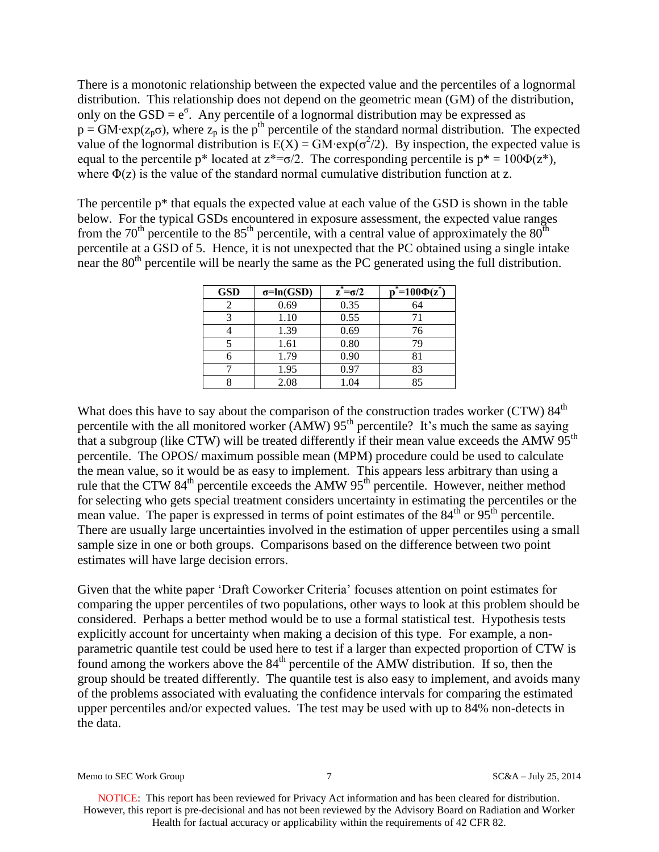There is a monotonic relationship between the expected value and the percentiles of a lognormal distribution. This relationship does not depend on the geometric mean (GM) of the distribution, only on the  $GSD = e^{\sigma}$ . Any percentile of a lognormal distribution may be expressed as  $p = GM \cdot \exp(z_p \sigma)$ , where  $z_p$  is the p<sup>th</sup> percentile of the standard normal distribution. The expected value of the lognormal distribution is  $E(X) = GM \cdot exp(\sigma^2/2)$ . By inspection, the expected value is equal to the percentile p\* located at  $z^* = \sigma/2$ . The corresponding percentile is  $p^* = 100\Phi(z^*),$ where  $\Phi(z)$  is the value of the standard normal cumulative distribution function at z.

The percentile  $p^*$  that equals the expected value at each value of the GSD is shown in the table below. For the typical GSDs encountered in exposure assessment, the expected value ranges from the  $70<sup>th</sup>$  percentile to the  $85<sup>th</sup>$  percentile, with a central value of approximately the  $80<sup>th</sup>$ percentile at a GSD of 5. Hence, it is not unexpected that the PC obtained using a single intake near the 80<sup>th</sup> percentile will be nearly the same as the PC generated using the full distribution.

| <b>GSD</b> | $\sigma = ln(GSD)$ | $z^* = \sigma/2$ | $\sum_{n=1}^{\infty}$ = 100 $\Phi(z^*)$ |
|------------|--------------------|------------------|-----------------------------------------|
|            | 0.69               | 0.35             | 64                                      |
|            | 1.10               | 0.55             | 71                                      |
|            | 1.39               | 0.69             | 76                                      |
|            | 1.61               | 0.80             | 79                                      |
|            | 1.79               | 0.90             | 81                                      |
|            | 1.95               | 0.97             | 83                                      |
|            | 2.08               | 1.04             | 85                                      |

What does this have to say about the comparison of the construction trades worker (CTW)  $84<sup>th</sup>$ percentile with the all monitored worker (AMW)  $95<sup>th</sup>$  percentile? It's much the same as saying that a subgroup (like CTW) will be treated differently if their mean value exceeds the AMW  $95<sup>th</sup>$ percentile. The OPOS/ maximum possible mean (MPM) procedure could be used to calculate the mean value, so it would be as easy to implement. This appears less arbitrary than using a rule that the CTW  $84<sup>th</sup>$  percentile exceeds the AMW  $95<sup>th</sup>$  percentile. However, neither method for selecting who gets special treatment considers uncertainty in estimating the percentiles or the mean value. The paper is expressed in terms of point estimates of the  $84<sup>th</sup>$  or  $95<sup>th</sup>$  percentile. There are usually large uncertainties involved in the estimation of upper percentiles using a small sample size in one or both groups. Comparisons based on the difference between two point estimates will have large decision errors.

Given that the white paper 'Draft Coworker Criteria' focuses attention on point estimates for comparing the upper percentiles of two populations, other ways to look at this problem should be considered. Perhaps a better method would be to use a formal statistical test. Hypothesis tests explicitly account for uncertainty when making a decision of this type. For example, a nonparametric quantile test could be used here to test if a larger than expected proportion of CTW is found among the workers above the  $84<sup>th</sup>$  percentile of the AMW distribution. If so, then the group should be treated differently. The quantile test is also easy to implement, and avoids many of the problems associated with evaluating the confidence intervals for comparing the estimated upper percentiles and/or expected values. The test may be used with up to 84% non-detects in the data.

Memo to SEC Work Group 25, 2014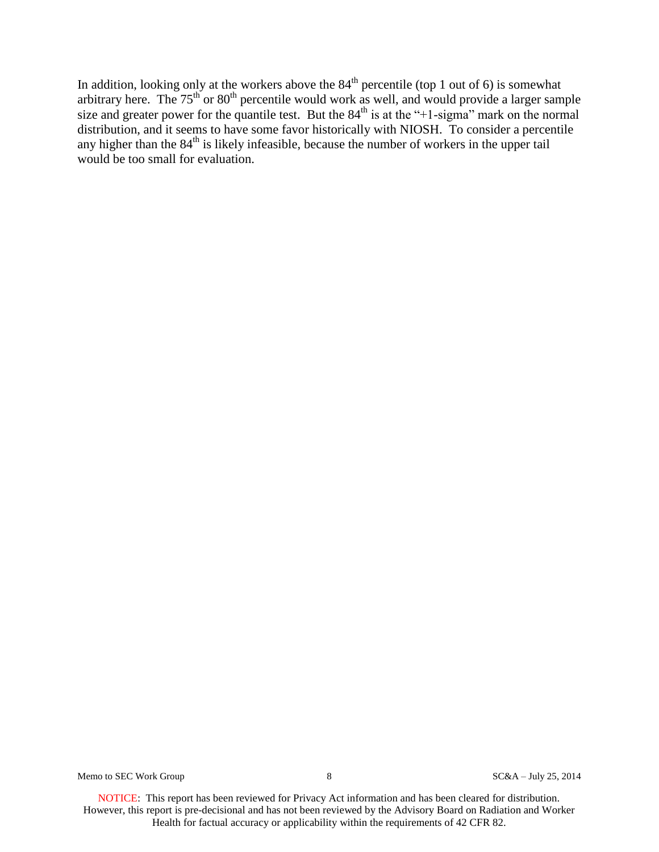In addition, looking only at the workers above the  $84<sup>th</sup>$  percentile (top 1 out of 6) is somewhat arbitrary here. The  $75<sup>th</sup>$  or  $80<sup>th</sup>$  percentile would work as well, and would provide a larger sample size and greater power for the quantile test. But the  $84<sup>th</sup>$  is at the "+1-sigma" mark on the normal distribution, and it seems to have some favor historically with NIOSH. To consider a percentile any higher than the  $84<sup>th</sup>$  is likely infeasible, because the number of workers in the upper tail would be too small for evaluation.

Memo to SEC Work Group 8 and 8 SC&A – July 25, 2014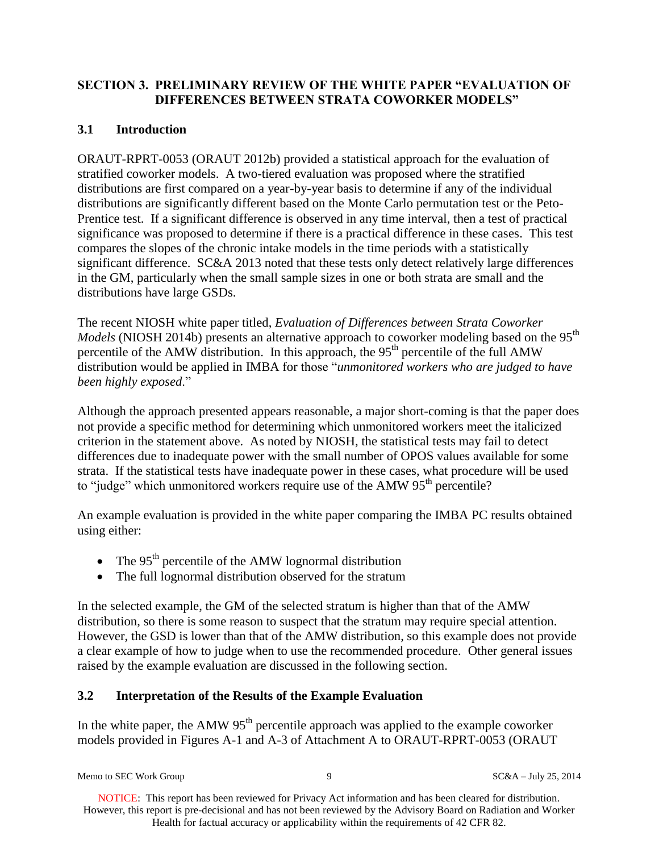## **SECTION 3. PRELIMINARY REVIEW OF THE WHITE PAPER "EVALUATION OF DIFFERENCES BETWEEN STRATA COWORKER MODELS"**

# **3.1 Introduction**

ORAUT-RPRT-0053 (ORAUT 2012b) provided a statistical approach for the evaluation of stratified coworker models. A two-tiered evaluation was proposed where the stratified distributions are first compared on a year-by-year basis to determine if any of the individual distributions are significantly different based on the Monte Carlo permutation test or the Peto-Prentice test. If a significant difference is observed in any time interval, then a test of practical significance was proposed to determine if there is a practical difference in these cases. This test compares the slopes of the chronic intake models in the time periods with a statistically significant difference. SC&A 2013 noted that these tests only detect relatively large differences in the GM, particularly when the small sample sizes in one or both strata are small and the distributions have large GSDs.

The recent NIOSH white paper titled, *Evaluation of Differences between Strata Coworker Models* (NIOSH 2014b) presents an alternative approach to coworker modeling based on the 95<sup>th</sup> percentile of the AMW distribution. In this approach, the  $95<sup>th</sup>$  percentile of the full AMW distribution would be applied in IMBA for those "*unmonitored workers who are judged to have been highly exposed*."

Although the approach presented appears reasonable, a major short-coming is that the paper does not provide a specific method for determining which unmonitored workers meet the italicized criterion in the statement above. As noted by NIOSH, the statistical tests may fail to detect differences due to inadequate power with the small number of OPOS values available for some strata. If the statistical tests have inadequate power in these cases, what procedure will be used to "judge" which unmonitored workers require use of the AMW  $95<sup>th</sup>$  percentile?

An example evaluation is provided in the white paper comparing the IMBA PC results obtained using either:

- The  $95<sup>th</sup>$  percentile of the AMW lognormal distribution
- The full lognormal distribution observed for the stratum

In the selected example, the GM of the selected stratum is higher than that of the AMW distribution, so there is some reason to suspect that the stratum may require special attention. However, the GSD is lower than that of the AMW distribution, so this example does not provide a clear example of how to judge when to use the recommended procedure. Other general issues raised by the example evaluation are discussed in the following section.

## **3.2 Interpretation of the Results of the Example Evaluation**

In the white paper, the AMW  $95<sup>th</sup>$  percentile approach was applied to the example coworker models provided in Figures A-1 and A-3 of Attachment A to ORAUT-RPRT-0053 (ORAUT

Memo to SEC Work Group 9 9 SC&A – July 25, 2014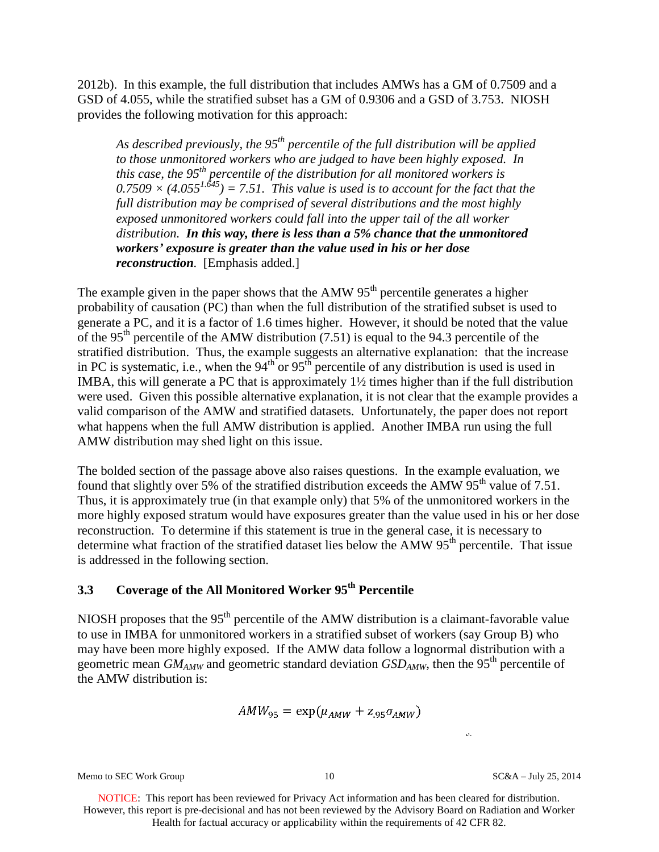2012b). In this example, the full distribution that includes AMWs has a GM of 0.7509 and a GSD of 4.055, while the stratified subset has a GM of 0.9306 and a GSD of 3.753. NIOSH provides the following motivation for this approach:

*As described previously, the 95th percentile of the full distribution will be applied to those unmonitored workers who are judged to have been highly exposed. In this case, the 95th percentile of the distribution for all monitored workers is*   $0.7509 \times (4.055^{1.645}) = 7.51$ . This value is used is to account for the fact that the *full distribution may be comprised of several distributions and the most highly exposed unmonitored workers could fall into the upper tail of the all worker distribution. In this way, there is less than a 5% chance that the unmonitored workers' exposure is greater than the value used in his or her dose reconstruction.* [Emphasis added.]

The example given in the paper shows that the AMW  $95<sup>th</sup>$  percentile generates a higher probability of causation (PC) than when the full distribution of the stratified subset is used to generate a PC, and it is a factor of 1.6 times higher. However, it should be noted that the value of the 95<sup>th</sup> percentile of the AMW distribution (7.51) is equal to the 94.3 percentile of the stratified distribution. Thus, the example suggests an alternative explanation: that the increase in PC is systematic, i.e., when the  $94<sup>th</sup>$  or  $95<sup>th</sup>$  percentile of any distribution is used is used in IMBA, this will generate a PC that is approximately 1½ times higher than if the full distribution were used. Given this possible alternative explanation, it is not clear that the example provides a valid comparison of the AMW and stratified datasets. Unfortunately, the paper does not report what happens when the full AMW distribution is applied. Another IMBA run using the full AMW distribution may shed light on this issue.

The bolded section of the passage above also raises questions. In the example evaluation, we found that slightly over 5% of the stratified distribution exceeds the AMW  $95<sup>th</sup>$  value of 7.51. Thus, it is approximately true (in that example only) that 5% of the unmonitored workers in the more highly exposed stratum would have exposures greater than the value used in his or her dose reconstruction. To determine if this statement is true in the general case, it is necessary to determine what fraction of the stratified dataset lies below the AMW  $95<sup>th</sup>$  percentile. That issue is addressed in the following section.

# **3.3 Coverage of the All Monitored Worker 95th Percentile**

NIOSH proposes that the  $95<sup>th</sup>$  percentile of the AMW distribution is a claimant-favorable value to use in IMBA for unmonitored workers in a stratified subset of workers (say Group B) who may have been more highly exposed. If the AMW data follow a lognormal distribution with a geometric mean  $GM_{AMW}$  and geometric standard deviation  $GSD_{AMW}$ , then the 95<sup>th</sup> percentile of the AMW distribution is:

 $AMW_{95} = \exp(\mu_{AMW} + Z_{95}\sigma_{AMW})$ 

Memo to SEC Work Group 10 10 SC&A – July 25, 2014

 $\mathbf{H}$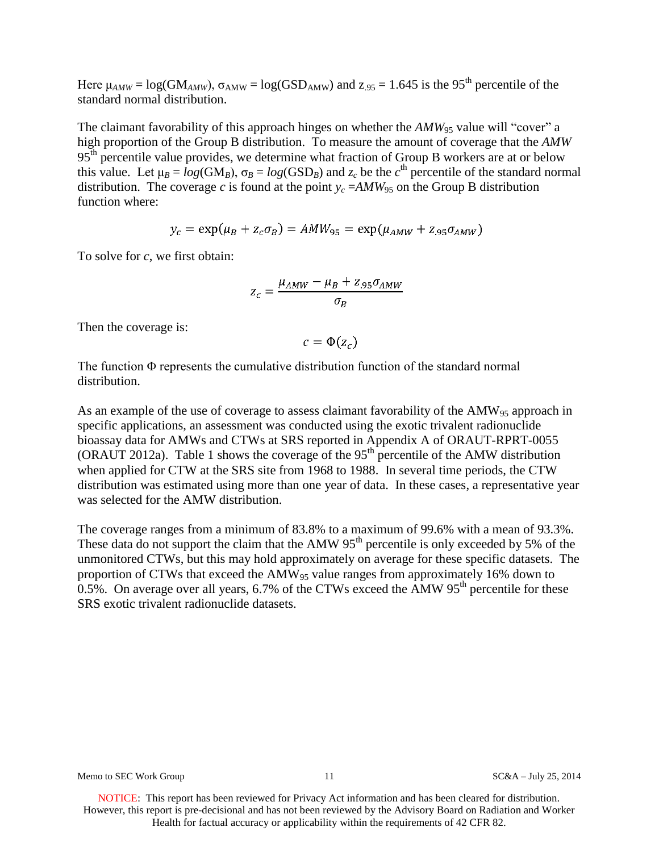Here  $\mu_{AMW} = \log(GM_{AMW})$ ,  $\sigma_{AMW} = \log(GSD_{AMW})$  and  $z_{.95} = 1.645$  is the 95<sup>th</sup> percentile of the standard normal distribution.

The claimant favorability of this approach hinges on whether the  $AMW_{95}$  value will "cover" a high proportion of the Group B distribution. To measure the amount of coverage that the *AMW* 95<sup>th</sup> percentile value provides, we determine what fraction of Group B workers are at or below this value. Let  $\mu_B = log(GM_B)$ ,  $\sigma_B = log(GSD_B)$  and  $z_c$  be the  $c^{\text{th}}$  percentile of the standard normal distribution. The coverage *c* is found at the point  $y_c = AMW_{95}$  on the Group B distribution function where:

$$
y_c = \exp(\mu_B + z_c \sigma_B) = AMW_{95} = \exp(\mu_{AMW} + z_{.95} \sigma_{AMW})
$$

To solve for *c*, we first obtain:

$$
z_c = \frac{\mu_{AMW} - \mu_B + z_{.95}\sigma_{AMW}}{\sigma_B}
$$

Then the coverage is:

 $c = \Phi(z_c)$ 

The function Φ represents the cumulative distribution function of the standard normal distribution.

As an example of the use of coverage to assess claimant favorability of the  $AMW_{95}$  approach in specific applications, an assessment was conducted using the exotic trivalent radionuclide bioassay data for AMWs and CTWs at SRS reported in Appendix A of ORAUT-RPRT-0055 (ORAUT 2012a). Table 1 shows the coverage of the  $95<sup>th</sup>$  percentile of the AMW distribution when applied for CTW at the SRS site from 1968 to 1988. In several time periods, the CTW distribution was estimated using more than one year of data. In these cases, a representative year was selected for the AMW distribution.

The coverage ranges from a minimum of 83.8% to a maximum of 99.6% with a mean of 93.3%. These data do not support the claim that the AMW  $95<sup>th</sup>$  percentile is only exceeded by 5% of the unmonitored CTWs, but this may hold approximately on average for these specific datasets. The proportion of CTWs that exceed the AMW<sub>95</sub> value ranges from approximately 16% down to  $0.5\%$ . On average over all years, 6.7% of the CTWs exceed the AMW 95<sup>th</sup> percentile for these SRS exotic trivalent radionuclide datasets.

Memo to SEC Work Group 11 3 and SC&A – July 25, 2014

NOTICE: This report has been reviewed for Privacy Act information and has been cleared for distribution. However, this report is pre-decisional and has not been reviewed by the Advisory Board on Radiation and Worker Health for factual accuracy or applicability within the requirements of 42 CFR 82.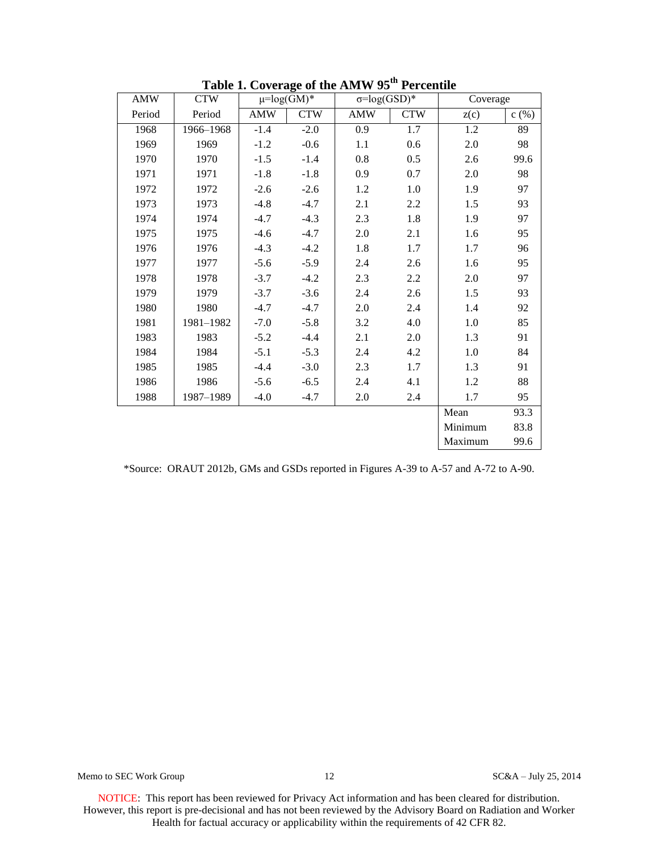| <b>AMW</b> | <b>CTW</b> | $\mu = log(GM)^*$ |            | $\sigma = log(GSD)*$ |            | Coverage |      |
|------------|------------|-------------------|------------|----------------------|------------|----------|------|
| Period     | Period     | <b>AMW</b>        | <b>CTW</b> | <b>AMW</b>           | <b>CTW</b> | z(c)     | c(%) |
| 1968       | 1966-1968  | $-1.4$            | $-2.0$     | 0.9                  | 1.7        | 1.2      | 89   |
| 1969       | 1969       | $-1.2$            | $-0.6$     | 1.1                  | 0.6        | 2.0      | 98   |
| 1970       | 1970       | $-1.5$            | $-1.4$     | 0.8                  | 0.5        | 2.6      | 99.6 |
| 1971       | 1971       | $-1.8$            | $-1.8$     | 0.9                  | 0.7        | 2.0      | 98   |
| 1972       | 1972       | $-2.6$            | $-2.6$     | 1.2                  | 1.0        | 1.9      | 97   |
| 1973       | 1973       | $-4.8$            | $-4.7$     | 2.1                  | 2.2        | 1.5      | 93   |
| 1974       | 1974       | $-4.7$            | $-4.3$     | 2.3                  | 1.8        | 1.9      | 97   |
| 1975       | 1975       | $-4.6$            | $-4.7$     | 2.0                  | 2.1        | 1.6      | 95   |
| 1976       | 1976       | $-4.3$            | $-4.2$     | 1.8                  | 1.7        | 1.7      | 96   |
| 1977       | 1977       | $-5.6$            | $-5.9$     | 2.4                  | 2.6        | 1.6      | 95   |
| 1978       | 1978       | $-3.7$            | $-4.2$     | 2.3                  | 2.2        | 2.0      | 97   |
| 1979       | 1979       | $-3.7$            | $-3.6$     | 2.4                  | 2.6        | 1.5      | 93   |
| 1980       | 1980       | $-4.7$            | $-4.7$     | 2.0                  | 2.4        | 1.4      | 92   |
| 1981       | 1981-1982  | $-7.0$            | $-5.8$     | 3.2                  | 4.0        | $1.0\,$  | 85   |
| 1983       | 1983       | $-5.2$            | $-4.4$     | 2.1                  | 2.0        | 1.3      | 91   |
| 1984       | 1984       | $-5.1$            | $-5.3$     | 2.4                  | 4.2        | 1.0      | 84   |
| 1985       | 1985       | $-4.4$            | $-3.0$     | 2.3                  | 1.7        | 1.3      | 91   |
| 1986       | 1986       | $-5.6$            | $-6.5$     | 2.4                  | 4.1        | 1.2      | 88   |
| 1988       | 1987-1989  | $-4.0$            | $-4.7$     | 2.0                  | 2.4        | 1.7      | 95   |
|            |            |                   |            |                      |            | Mean     | 93.3 |
|            |            |                   |            |                      |            | Minimum  | 83.8 |
|            |            |                   |            |                      |            | Maximum  | 99.6 |

**Table 1. Coverage of the AMW 95th Percentile** 

\*Source: ORAUT 2012b, GMs and GSDs reported in Figures A-39 to A-57 and A-72 to A-90.

Memo to SEC Work Group 12 12 SC&A – July 25, 2014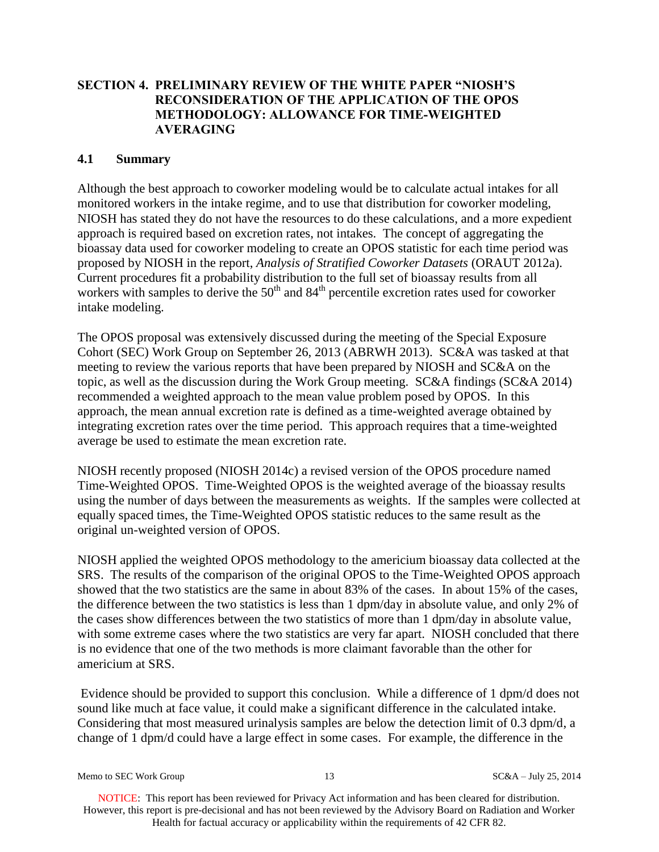## **SECTION 4. PRELIMINARY REVIEW OF THE WHITE PAPER "NIOSH'S RECONSIDERATION OF THE APPLICATION OF THE OPOS METHODOLOGY: ALLOWANCE FOR TIME-WEIGHTED AVERAGING**

## **4.1 Summary**

Although the best approach to coworker modeling would be to calculate actual intakes for all monitored workers in the intake regime, and to use that distribution for coworker modeling, NIOSH has stated they do not have the resources to do these calculations, and a more expedient approach is required based on excretion rates, not intakes. The concept of aggregating the bioassay data used for coworker modeling to create an OPOS statistic for each time period was proposed by NIOSH in the report, *Analysis of Stratified Coworker Datasets* (ORAUT 2012a). Current procedures fit a probability distribution to the full set of bioassay results from all workers with samples to derive the  $50<sup>th</sup>$  and  $84<sup>th</sup>$  percentile excretion rates used for coworker intake modeling.

The OPOS proposal was extensively discussed during the meeting of the Special Exposure Cohort (SEC) Work Group on September 26, 2013 (ABRWH 2013). SC&A was tasked at that meeting to review the various reports that have been prepared by NIOSH and SC&A on the topic, as well as the discussion during the Work Group meeting. SC&A findings (SC&A 2014) recommended a weighted approach to the mean value problem posed by OPOS. In this approach, the mean annual excretion rate is defined as a time-weighted average obtained by integrating excretion rates over the time period. This approach requires that a time-weighted average be used to estimate the mean excretion rate.

NIOSH recently proposed (NIOSH 2014c) a revised version of the OPOS procedure named Time-Weighted OPOS. Time-Weighted OPOS is the weighted average of the bioassay results using the number of days between the measurements as weights. If the samples were collected at equally spaced times, the Time-Weighted OPOS statistic reduces to the same result as the original un-weighted version of OPOS.

NIOSH applied the weighted OPOS methodology to the americium bioassay data collected at the SRS. The results of the comparison of the original OPOS to the Time-Weighted OPOS approach showed that the two statistics are the same in about 83% of the cases. In about 15% of the cases, the difference between the two statistics is less than 1 dpm/day in absolute value, and only 2% of the cases show differences between the two statistics of more than 1 dpm/day in absolute value, with some extreme cases where the two statistics are very far apart. NIOSH concluded that there is no evidence that one of the two methods is more claimant favorable than the other for americium at SRS.

Evidence should be provided to support this conclusion. While a difference of 1 dpm/d does not sound like much at face value, it could make a significant difference in the calculated intake. Considering that most measured urinalysis samples are below the detection limit of 0.3 dpm/d, a change of 1 dpm/d could have a large effect in some cases. For example, the difference in the

Memo to SEC Work Group 13 and 13 SC&A – July 25, 2014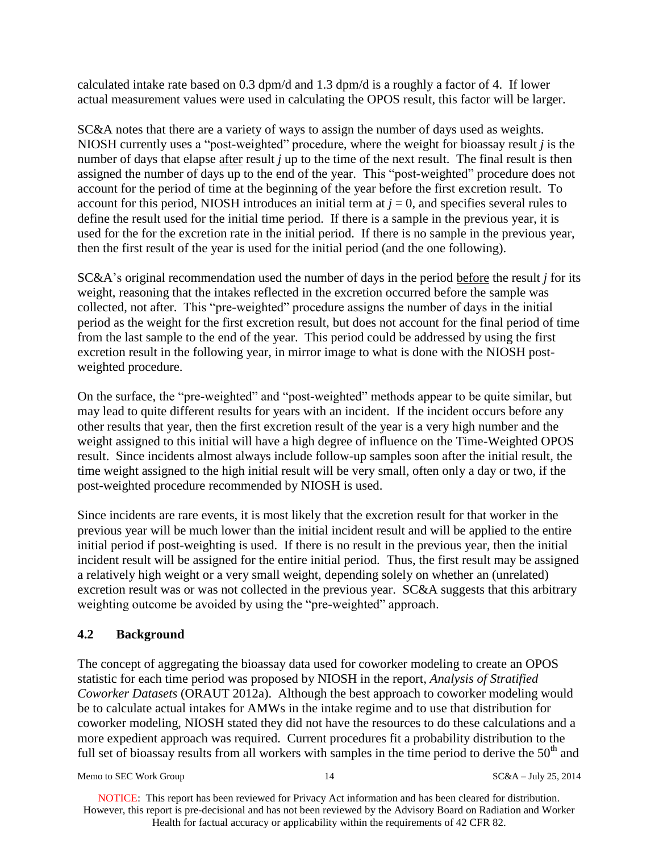calculated intake rate based on 0.3 dpm/d and 1.3 dpm/d is a roughly a factor of 4. If lower actual measurement values were used in calculating the OPOS result, this factor will be larger.

SC&A notes that there are a variety of ways to assign the number of days used as weights. NIOSH currently uses a "post-weighted" procedure, where the weight for bioassay result *j* is the number of days that elapse after result *j* up to the time of the next result. The final result is then assigned the number of days up to the end of the year. This "post-weighted" procedure does not account for the period of time at the beginning of the year before the first excretion result. To account for this period, NIOSH introduces an initial term at  $j = 0$ , and specifies several rules to define the result used for the initial time period. If there is a sample in the previous year, it is used for the for the excretion rate in the initial period. If there is no sample in the previous year, then the first result of the year is used for the initial period (and the one following).

SC&A's original recommendation used the number of days in the period before the result *j* for its weight, reasoning that the intakes reflected in the excretion occurred before the sample was collected, not after. This "pre-weighted" procedure assigns the number of days in the initial period as the weight for the first excretion result, but does not account for the final period of time from the last sample to the end of the year. This period could be addressed by using the first excretion result in the following year, in mirror image to what is done with the NIOSH postweighted procedure.

On the surface, the "pre-weighted" and "post-weighted" methods appear to be quite similar, but may lead to quite different results for years with an incident. If the incident occurs before any other results that year, then the first excretion result of the year is a very high number and the weight assigned to this initial will have a high degree of influence on the Time-Weighted OPOS result. Since incidents almost always include follow-up samples soon after the initial result, the time weight assigned to the high initial result will be very small, often only a day or two, if the post-weighted procedure recommended by NIOSH is used.

Since incidents are rare events, it is most likely that the excretion result for that worker in the previous year will be much lower than the initial incident result and will be applied to the entire initial period if post-weighting is used. If there is no result in the previous year, then the initial incident result will be assigned for the entire initial period. Thus, the first result may be assigned a relatively high weight or a very small weight, depending solely on whether an (unrelated) excretion result was or was not collected in the previous year. SC&A suggests that this arbitrary weighting outcome be avoided by using the "pre-weighted" approach.

## **4.2 Background**

The concept of aggregating the bioassay data used for coworker modeling to create an OPOS statistic for each time period was proposed by NIOSH in the report, *Analysis of Stratified Coworker Datasets* (ORAUT 2012a). Although the best approach to coworker modeling would be to calculate actual intakes for AMWs in the intake regime and to use that distribution for coworker modeling, NIOSH stated they did not have the resources to do these calculations and a more expedient approach was required. Current procedures fit a probability distribution to the full set of bioassay results from all workers with samples in the time period to derive the  $50<sup>th</sup>$  and

Memo to SEC Work Group 14 and 14 SC&A – July 25, 2014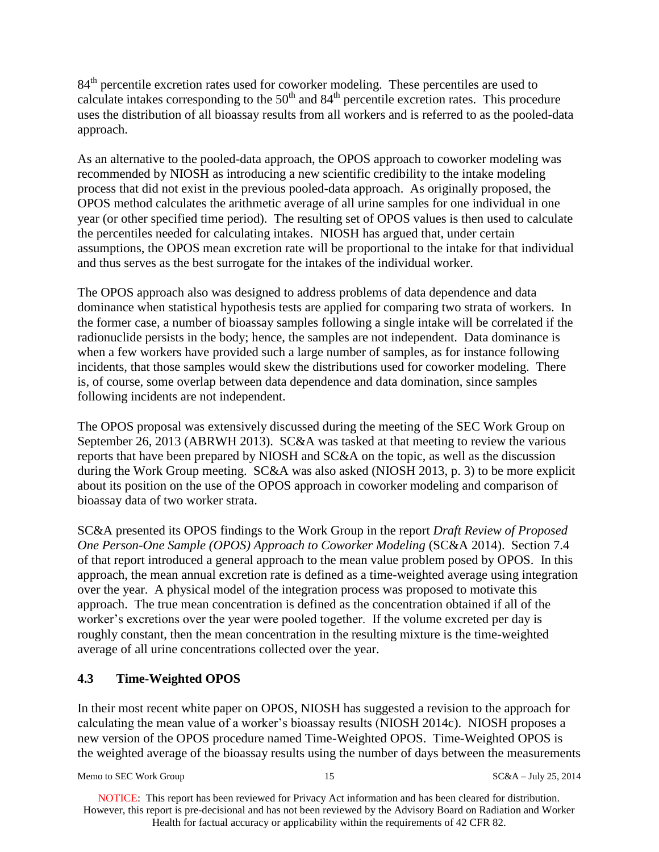84<sup>th</sup> percentile excretion rates used for coworker modeling. These percentiles are used to calculate intakes corresponding to the  $50<sup>th</sup>$  and  $84<sup>th</sup>$  percentile excretion rates. This procedure uses the distribution of all bioassay results from all workers and is referred to as the pooled-data approach.

As an alternative to the pooled-data approach, the OPOS approach to coworker modeling was recommended by NIOSH as introducing a new scientific credibility to the intake modeling process that did not exist in the previous pooled-data approach. As originally proposed, the OPOS method calculates the arithmetic average of all urine samples for one individual in one year (or other specified time period). The resulting set of OPOS values is then used to calculate the percentiles needed for calculating intakes. NIOSH has argued that, under certain assumptions, the OPOS mean excretion rate will be proportional to the intake for that individual and thus serves as the best surrogate for the intakes of the individual worker.

The OPOS approach also was designed to address problems of data dependence and data dominance when statistical hypothesis tests are applied for comparing two strata of workers. In the former case, a number of bioassay samples following a single intake will be correlated if the radionuclide persists in the body; hence, the samples are not independent. Data dominance is when a few workers have provided such a large number of samples, as for instance following incidents, that those samples would skew the distributions used for coworker modeling. There is, of course, some overlap between data dependence and data domination, since samples following incidents are not independent.

The OPOS proposal was extensively discussed during the meeting of the SEC Work Group on September 26, 2013 (ABRWH 2013). SC&A was tasked at that meeting to review the various reports that have been prepared by NIOSH and SC&A on the topic, as well as the discussion during the Work Group meeting. SC&A was also asked (NIOSH 2013, p. 3) to be more explicit about its position on the use of the OPOS approach in coworker modeling and comparison of bioassay data of two worker strata.

SC&A presented its OPOS findings to the Work Group in the report *Draft Review of Proposed One Person-One Sample (OPOS) Approach to Coworker Modeling* (SC&A 2014). Section 7.4 of that report introduced a general approach to the mean value problem posed by OPOS. In this approach, the mean annual excretion rate is defined as a time-weighted average using integration over the year. A physical model of the integration process was proposed to motivate this approach. The true mean concentration is defined as the concentration obtained if all of the worker's excretions over the year were pooled together. If the volume excreted per day is roughly constant, then the mean concentration in the resulting mixture is the time-weighted average of all urine concentrations collected over the year.

## **4.3 Time-Weighted OPOS**

In their most recent white paper on OPOS, NIOSH has suggested a revision to the approach for calculating the mean value of a worker's bioassay results (NIOSH 2014c). NIOSH proposes a new version of the OPOS procedure named Time-Weighted OPOS. Time-Weighted OPOS is the weighted average of the bioassay results using the number of days between the measurements

Memo to SEC Work Group 15 15 SC&A – July 25, 2014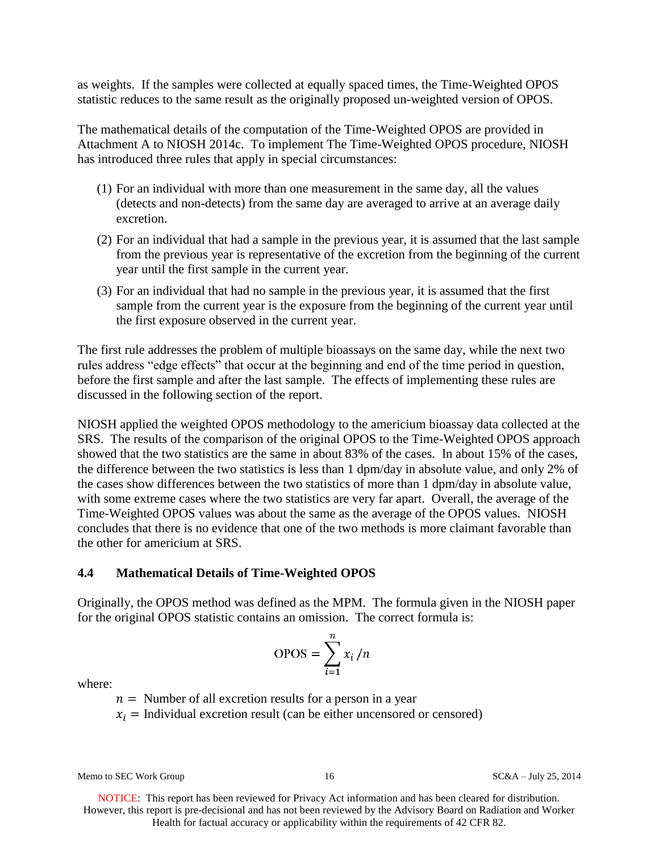as weights. If the samples were collected at equally spaced times, the Time-Weighted OPOS statistic reduces to the same result as the originally proposed un-weighted version of OPOS.

The mathematical details of the computation of the Time-Weighted OPOS are provided in Attachment A to NIOSH 2014c. To implement The Time-Weighted OPOS procedure, NIOSH has introduced three rules that apply in special circumstances:

- (1) For an individual with more than one measurement in the same day, all the values (detects and non-detects) from the same day are averaged to arrive at an average daily excretion.
- (2) For an individual that had a sample in the previous year, it is assumed that the last sample from the previous year is representative of the excretion from the beginning of the current year until the first sample in the current year.
- (3) For an individual that had no sample in the previous year, it is assumed that the first sample from the current year is the exposure from the beginning of the current year until the first exposure observed in the current year.

The first rule addresses the problem of multiple bioassays on the same day, while the next two rules address "edge effects" that occur at the beginning and end of the time period in question, before the first sample and after the last sample. The effects of implementing these rules are discussed in the following section of the report.

NIOSH applied the weighted OPOS methodology to the americium bioassay data collected at the SRS. The results of the comparison of the original OPOS to the Time-Weighted OPOS approach showed that the two statistics are the same in about 83% of the cases. In about 15% of the cases, the difference between the two statistics is less than 1 dpm/day in absolute value, and only 2% of the cases show differences between the two statistics of more than 1 dpm/day in absolute value, with some extreme cases where the two statistics are very far apart. Overall, the average of the Time-Weighted OPOS values was about the same as the average of the OPOS values. NIOSH concludes that there is no evidence that one of the two methods is more claimant favorable than the other for americium at SRS.

#### **4.4 Mathematical Details of Time-Weighted OPOS**

Originally, the OPOS method was defined as the MPM. The formula given in the NIOSH paper for the original OPOS statistic contains an omission. The correct formula is:

$$
OPOS = \sum_{i=1}^{n} x_i / n
$$

where:

 $n =$  Number of all excretion results for a person in a year

 $x_i$  = Individual excretion result (can be either uncensored or censored)

Memo to SEC Work Group 16 16 SC&A – July 25, 2014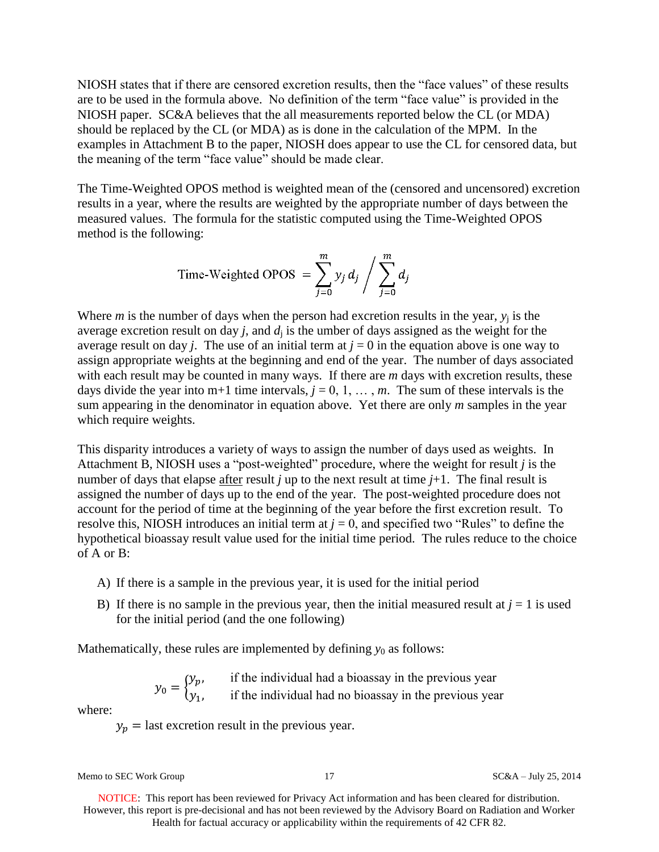NIOSH states that if there are censored excretion results, then the "face values" of these results are to be used in the formula above. No definition of the term "face value" is provided in the NIOSH paper. SC&A believes that the all measurements reported below the CL (or MDA) should be replaced by the CL (or MDA) as is done in the calculation of the MPM. In the examples in Attachment B to the paper, NIOSH does appear to use the CL for censored data, but the meaning of the term "face value" should be made clear.

The Time-Weighted OPOS method is weighted mean of the (censored and uncensored) excretion results in a year, where the results are weighted by the appropriate number of days between the measured values. The formula for the statistic computed using the Time-Weighted OPOS method is the following:

Time-Weighted OPOS = 
$$
\sum_{j=0}^{m} y_j d_j / \sum_{j=0}^{m} d_j
$$

Where *m* is the number of days when the person had excretion results in the year,  $y_i$  is the average excretion result on day  $j$ , and  $d_i$  is the umber of days assigned as the weight for the average result on day *j*. The use of an initial term at  $j = 0$  in the equation above is one way to assign appropriate weights at the beginning and end of the year. The number of days associated with each result may be counted in many ways. If there are *m* days with excretion results, these days divide the year into m+1 time intervals,  $j = 0, 1, \ldots, m$ . The sum of these intervals is the sum appearing in the denominator in equation above. Yet there are only *m* samples in the year which require weights.

This disparity introduces a variety of ways to assign the number of days used as weights. In Attachment B, NIOSH uses a "post-weighted" procedure, where the weight for result *j* is the number of days that elapse after result *j* up to the next result at time  $j+1$ . The final result is assigned the number of days up to the end of the year. The post-weighted procedure does not account for the period of time at the beginning of the year before the first excretion result. To resolve this, NIOSH introduces an initial term at  $j = 0$ , and specified two "Rules" to define the hypothetical bioassay result value used for the initial time period. The rules reduce to the choice of A or B:

- A) If there is a sample in the previous year, it is used for the initial period
- B) If there is no sample in the previous year, then the initial measured result at  $j = 1$  is used for the initial period (and the one following)

Mathematically, these rules are implemented by defining  $y_0$  as follows:

$$
y_0 = \begin{cases} y_p, & \text{if the individual had a bioassay in the previous year} \\ y_1, & \text{if the individual had no bioassay in the previous year} \end{cases}
$$

where:

 $y_p$  = last excretion result in the previous year.

Memo to SEC Work Group 17 17 SC&A – July 25, 2014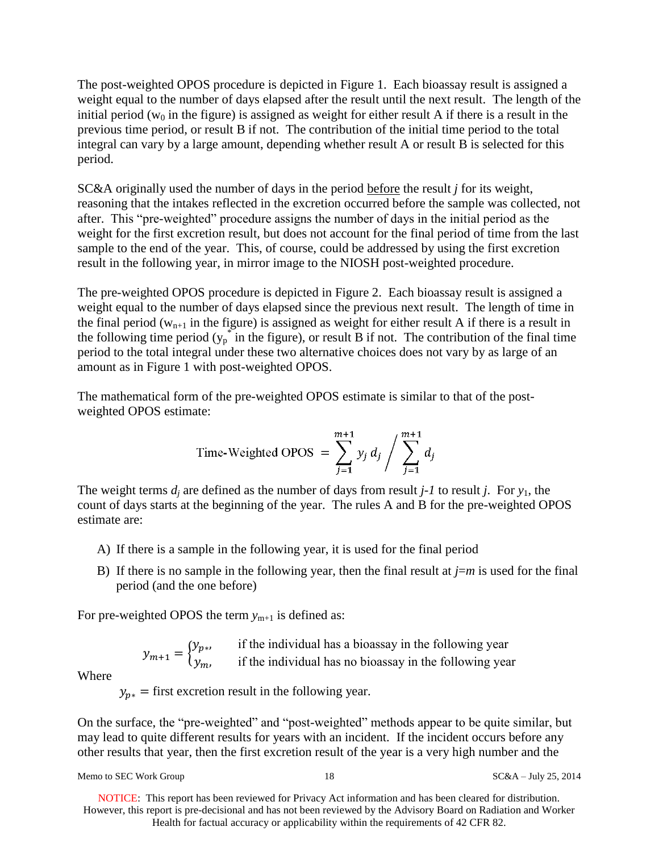The post-weighted OPOS procedure is depicted in Figure 1. Each bioassay result is assigned a weight equal to the number of days elapsed after the result until the next result. The length of the initial period ( $w_0$  in the figure) is assigned as weight for either result A if there is a result in the previous time period, or result B if not. The contribution of the initial time period to the total integral can vary by a large amount, depending whether result A or result B is selected for this period.

SC&A originally used the number of days in the period before the result *j* for its weight, reasoning that the intakes reflected in the excretion occurred before the sample was collected, not after. This "pre-weighted" procedure assigns the number of days in the initial period as the weight for the first excretion result, but does not account for the final period of time from the last sample to the end of the year. This, of course, could be addressed by using the first excretion result in the following year, in mirror image to the NIOSH post-weighted procedure.

The pre-weighted OPOS procedure is depicted in Figure 2. Each bioassay result is assigned a weight equal to the number of days elapsed since the previous next result. The length of time in the final period ( $w_{n+1}$  in the figure) is assigned as weight for either result A if there is a result in the following time period  $(y_p^*$  in the figure), or result B if not. The contribution of the final time period to the total integral under these two alternative choices does not vary by as large of an amount as in Figure 1 with post-weighted OPOS.

The mathematical form of the pre-weighted OPOS estimate is similar to that of the postweighted OPOS estimate:

Time-Weighted OPOS = 
$$
\sum_{j=1}^{m+1} y_j d_j / \sum_{j=1}^{m+1} d_j
$$

The weight terms  $d_i$  are defined as the number of days from result  $j$ -1 to result  $j$ . For  $y_1$ , the count of days starts at the beginning of the year. The rules A and B for the pre-weighted OPOS estimate are:

- A) If there is a sample in the following year, it is used for the final period
- B) If there is no sample in the following year, then the final result at  $j=m$  is used for the final period (and the one before)

For pre-weighted OPOS the term  $y_{m+1}$  is defined as:

$$
y_{m+1} = \begin{cases} y_{p*}, & \text{if the individual has a bioassay in the following year} \\ y_m, & \text{if the individual has no bioassay in the following year} \end{cases}
$$

Where

 $y_{n*}$  = first excretion result in the following year.

On the surface, the "pre-weighted" and "post-weighted" methods appear to be quite similar, but may lead to quite different results for years with an incident. If the incident occurs before any other results that year, then the first excretion result of the year is a very high number and the

Memo to SEC Work Group 18 18 SC&A – July 25, 2014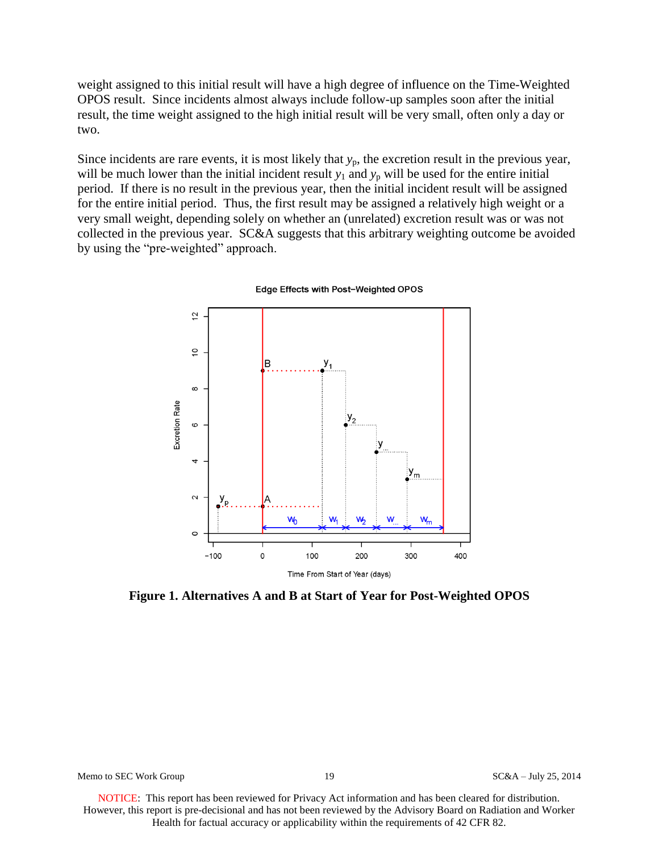weight assigned to this initial result will have a high degree of influence on the Time-Weighted OPOS result. Since incidents almost always include follow-up samples soon after the initial result, the time weight assigned to the high initial result will be very small, often only a day or two.

Since incidents are rare events, it is most likely that  $y_p$ , the excretion result in the previous year, will be much lower than the initial incident result  $y_1$  and  $y_p$  will be used for the entire initial period. If there is no result in the previous year, then the initial incident result will be assigned for the entire initial period. Thus, the first result may be assigned a relatively high weight or a very small weight, depending solely on whether an (unrelated) excretion result was or was not collected in the previous year. SC&A suggests that this arbitrary weighting outcome be avoided by using the "pre-weighted" approach.



Edge Effects with Post-Weighted OPOS

**Figure 1. Alternatives A and B at Start of Year for Post-Weighted OPOS**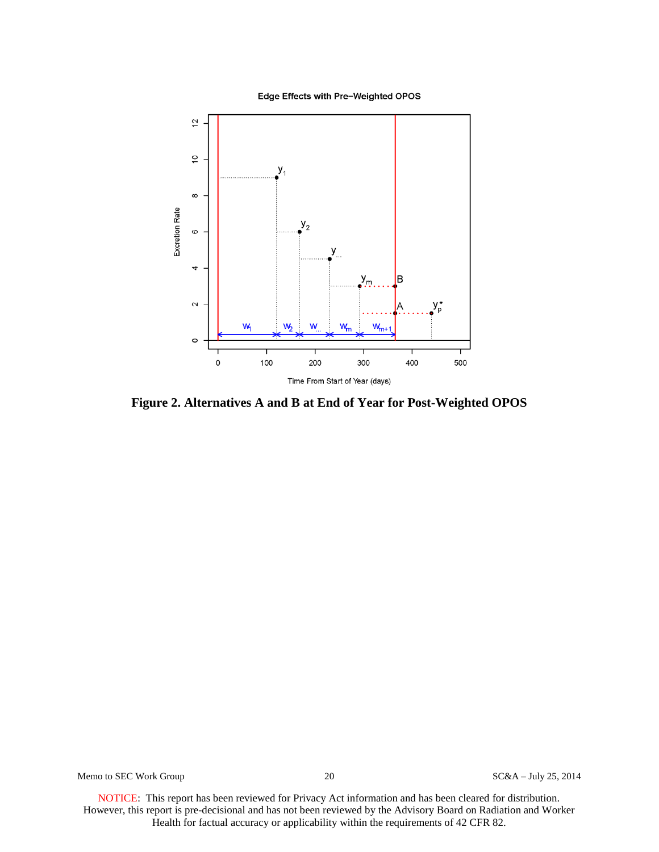Edge Effects with Pre-Weighted OPOS



**Figure 2. Alternatives A and B at End of Year for Post-Weighted OPOS**

Memo to SEC Work Group 20 20 SC&A – July 25, 2014